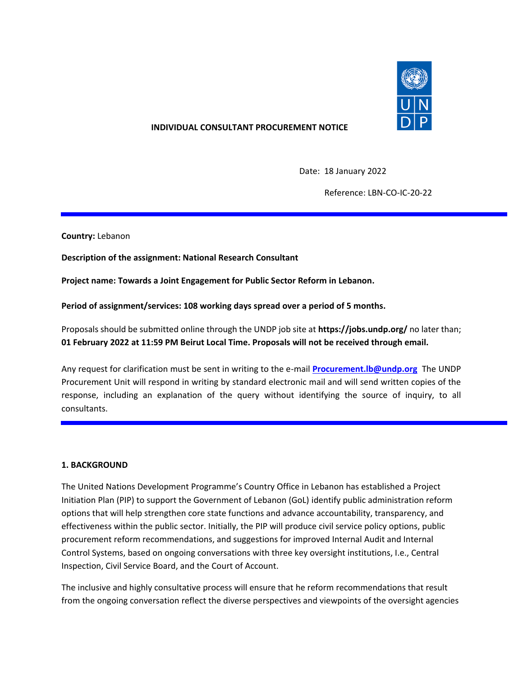

### **INDIVIDUAL CONSULTANT PROCUREMENT NOTICE**

Date: 18 January 2022

Reference: LBN-CO-IC-20-22

**Country:** Lebanon

**Description of the assignment: National Research Consultant**

**Project name: Towards a Joint Engagement for Public Sector Reform in Lebanon.**

**Period of assignment/services: 108 working days spread over a period of 5 months.**

Proposals should be submitted online through the UNDP job site at **https://jobs.undp.org/** no later than; **01 February 2022 at 11:59 PM Beirut Local Time. Proposals will not be received through email.**

Any request for clarification must be sent in writing to the e-mail **[Procurement.lb@undp.org](mailto:Procurement.lb@undp.org)** The UNDP Procurement Unit will respond in writing by standard electronic mail and will send written copies of the response, including an explanation of the query without identifying the source of inquiry, to all consultants.

### **1. BACKGROUND**

The United Nations Development Programme's Country Office in Lebanon has established a Project Initiation Plan (PIP) to support the Government of Lebanon (GoL) identify public administration reform options that will help strengthen core state functions and advance accountability, transparency, and effectiveness within the public sector. Initially, the PIP will produce civil service policy options, public procurement reform recommendations, and suggestions for improved Internal Audit and Internal Control Systems, based on ongoing conversations with three key oversight institutions, I.e., Central Inspection, Civil Service Board, and the Court of Account.

The inclusive and highly consultative process will ensure that he reform recommendations that result from the ongoing conversation reflect the diverse perspectives and viewpoints of the oversight agencies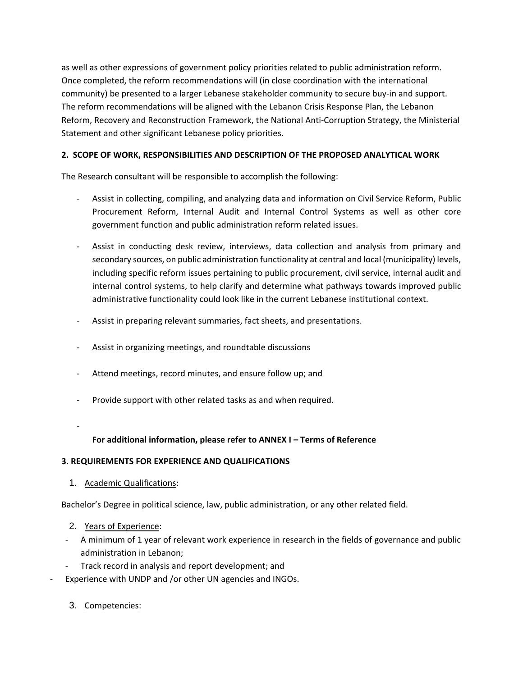as well as other expressions of government policy priorities related to public administration reform. Once completed, the reform recommendations will (in close coordination with the international community) be presented to a larger Lebanese stakeholder community to secure buy-in and support. The reform recommendations will be aligned with the Lebanon Crisis Response Plan, the Lebanon Reform, Recovery and Reconstruction Framework, the National Anti-Corruption Strategy, the Ministerial Statement and other significant Lebanese policy priorities.

## **2. SCOPE OF WORK, RESPONSIBILITIES AND DESCRIPTION OF THE PROPOSED ANALYTICAL WORK**

The Research consultant will be responsible to accomplish the following:

- Assist in collecting, compiling, and analyzing data and information on Civil Service Reform, Public Procurement Reform, Internal Audit and Internal Control Systems as well as other core government function and public administration reform related issues.
- Assist in conducting desk review, interviews, data collection and analysis from primary and secondary sources, on public administration functionality at central and local (municipality) levels, including specific reform issues pertaining to public procurement, civil service, internal audit and internal control systems, to help clarify and determine what pathways towards improved public administrative functionality could look like in the current Lebanese institutional context.
- Assist in preparing relevant summaries, fact sheets, and presentations.
- Assist in organizing meetings, and roundtable discussions
- Attend meetings, record minutes, and ensure follow up; and
- Provide support with other related tasks as and when required.
- -

# **For additional information, please refer to ANNEX I – Terms of Reference**

## **3. REQUIREMENTS FOR EXPERIENCE AND QUALIFICATIONS**

1. Academic Qualifications:

Bachelor's Degree in political science, law, public administration, or any other related field.

- 2. Years of Experience:
- A minimum of 1 year of relevant work experience in research in the fields of governance and public administration in Lebanon;
- Track record in analysis and report development; and
- Experience with UNDP and /or other UN agencies and INGOs.
	- 3. Competencies: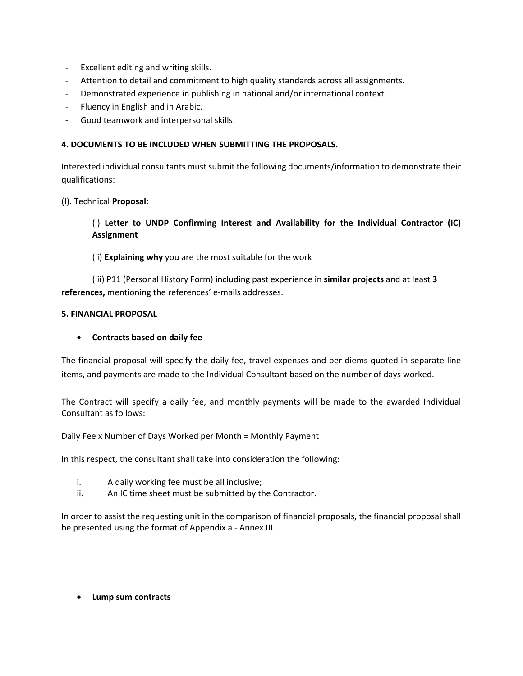- Excellent editing and writing skills.
- Attention to detail and commitment to high quality standards across all assignments.
- Demonstrated experience in publishing in national and/or international context.
- Fluency in English and in Arabic.
- Good teamwork and interpersonal skills.

### **4. DOCUMENTS TO BE INCLUDED WHEN SUBMITTING THE PROPOSALS.**

Interested individual consultants must submit the following documents/information to demonstrate their qualifications:

(I). Technical **Proposal**:

## (i) **Letter to UNDP Confirming Interest and Availability for the Individual Contractor (IC) Assignment**

### (ii) **Explaining why** you are the most suitable for the work

(iii) P11 (Personal History Form) including past experience in **similar projects** and at least **3 references,** mentioning the references' e-mails addresses.

#### **5. FINANCIAL PROPOSAL**

### • **Contracts based on daily fee**

The financial proposal will specify the daily fee, travel expenses and per diems quoted in separate line items, and payments are made to the Individual Consultant based on the number of days worked.

The Contract will specify a daily fee, and monthly payments will be made to the awarded Individual Consultant as follows:

Daily Fee x Number of Days Worked per Month = Monthly Payment

In this respect, the consultant shall take into consideration the following:

- i. A daily working fee must be all inclusive;
- ii. An IC time sheet must be submitted by the Contractor.

In order to assist the requesting unit in the comparison of financial proposals, the financial proposal shall be presented using the format of Appendix a - Annex III.

• **Lump sum contracts**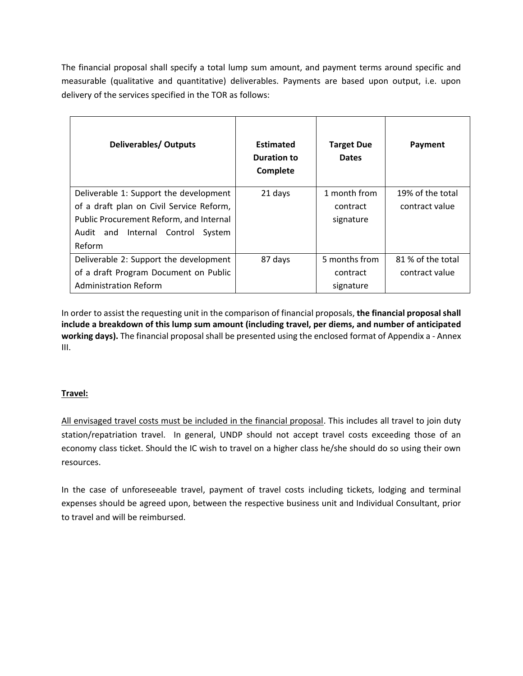The financial proposal shall specify a total lump sum amount, and payment terms around specific and measurable (qualitative and quantitative) deliverables. Payments are based upon output, i.e. upon delivery of the services specified in the TOR as follows:

| <b>Deliverables/ Outputs</b>                                                                                                                                                       | <b>Estimated</b><br>Duration to<br>Complete | <b>Target Due</b><br><b>Dates</b>      | Payment                             |
|------------------------------------------------------------------------------------------------------------------------------------------------------------------------------------|---------------------------------------------|----------------------------------------|-------------------------------------|
| Deliverable 1: Support the development<br>of a draft plan on Civil Service Reform,<br>Public Procurement Reform, and Internal<br>Internal Control<br>Audit and<br>System<br>Reform | 21 days                                     | 1 month from<br>contract<br>signature  | 19% of the total<br>contract value  |
| Deliverable 2: Support the development<br>of a draft Program Document on Public<br><b>Administration Reform</b>                                                                    | 87 days                                     | 5 months from<br>contract<br>signature | 81 % of the total<br>contract value |

In order to assist the requesting unit in the comparison of financial proposals, **the financial proposal shall include a breakdown of this lump sum amount (including travel, per diems, and number of anticipated working days).** The financial proposal shall be presented using the enclosed format of Appendix a - Annex III.

## **Travel:**

All envisaged travel costs must be included in the financial proposal. This includes all travel to join duty station/repatriation travel. In general, UNDP should not accept travel costs exceeding those of an economy class ticket. Should the IC wish to travel on a higher class he/she should do so using their own resources.

In the case of unforeseeable travel, payment of travel costs including tickets, lodging and terminal expenses should be agreed upon, between the respective business unit and Individual Consultant, prior to travel and will be reimbursed.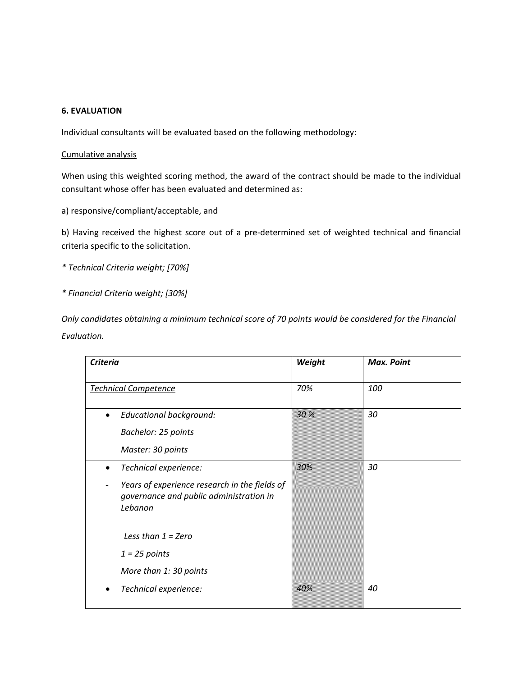### **6. EVALUATION**

Individual consultants will be evaluated based on the following methodology:

#### Cumulative analysis

When using this weighted scoring method, the award of the contract should be made to the individual consultant whose offer has been evaluated and determined as:

a) responsive/compliant/acceptable, and

b) Having received the highest score out of a pre-determined set of weighted technical and financial criteria specific to the solicitation.

- *\* Technical Criteria weight; [70%]*
- *\* Financial Criteria weight; [30%]*

*Only candidates obtaining a minimum technical score of 70 points would be considered for the Financial Evaluation.*

| <b>Criteria</b>                                                                                                                                                                                                | Weight | <b>Max. Point</b> |
|----------------------------------------------------------------------------------------------------------------------------------------------------------------------------------------------------------------|--------|-------------------|
| <b>Technical Competence</b>                                                                                                                                                                                    | 70%    | 100               |
| <b>Educational background:</b><br>Bachelor: 25 points<br>Master: 30 points                                                                                                                                     | 30 %   | 30                |
| Technical experience:<br>$\bullet$<br>Years of experience research in the fields of<br>governance and public administration in<br>Lebanon<br>Less than $1 = Zero$<br>$1 = 25$ points<br>More than 1: 30 points | 30%    | 30                |
| Technical experience:<br>$\bullet$                                                                                                                                                                             | 40%    | 40                |